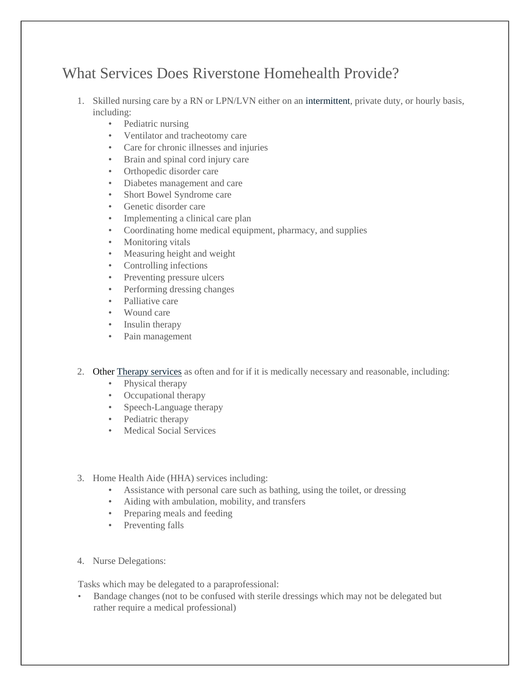## What Services Does Riverstone Homehealth Provide?

- 1. Skilled nursing care by a RN or LPN/LVN either on an intermittent, private duty, or hourly basis, including:
	- Pediatric nursing
	- Ventilator and tracheotomy care
	- Care for chronic illnesses and injuries
	- Brain and spinal cord injury care
	- Orthopedic disorder care
	- Diabetes management and care
	- Short Bowel Syndrome care
	- Genetic disorder care
	- Implementing a clinical care plan
	- Coordinating home medical equipment, pharmacy, and supplies
	- Monitoring vitals
	- Measuring height and weight
	- Controlling infections
	- Preventing pressure ulcers
	- Performing dressing changes
	- Palliative care
	- Wound care
	- Insulin therapy
	- Pain management
- 2. Other Therapy services as often and for if it is medically necessary and reasonable, including:
	- Physical therapy
	- Occupational therapy
	- Speech-Language therapy
	- Pediatric therapy
	- Medical Social Services
- 3. Home Health Aide (HHA) services including:
	- Assistance with personal care such as bathing, using the toilet, or dressing
	- Aiding with ambulation, mobility, and transfers
	- Preparing meals and feeding
	- Preventing falls
- 4. Nurse Delegations:

Tasks which may be delegated to a paraprofessional:

• Bandage changes (not to be confused with sterile dressings which may not be delegated but rather require a medical professional)